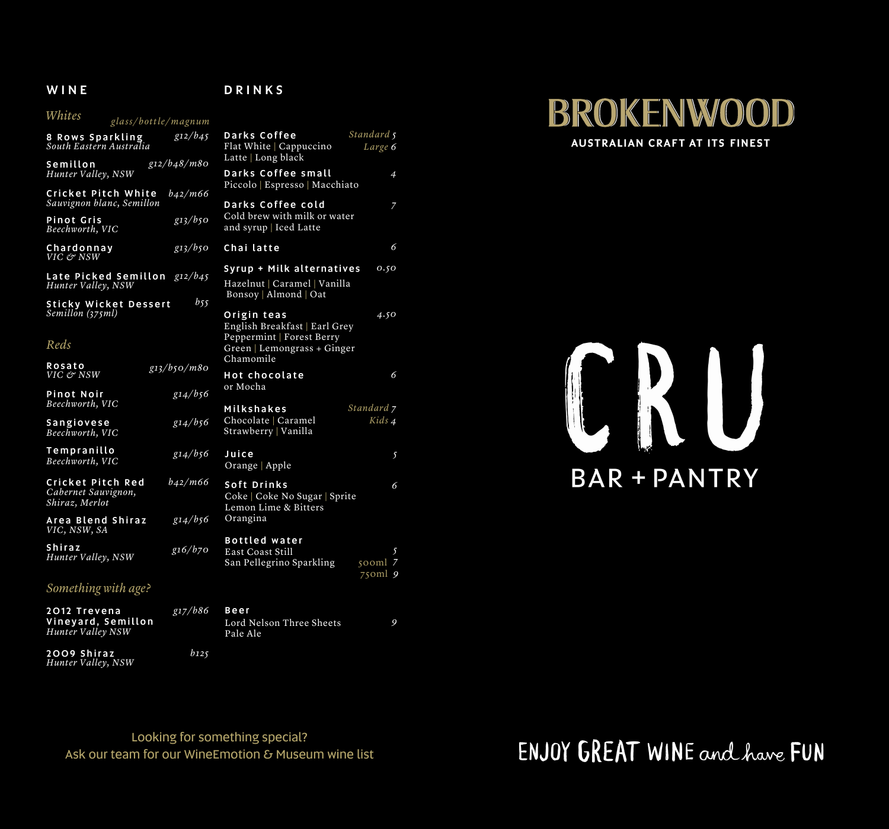#### **WINE**

#### **D R I N K S**

*6*

*5*

*6*

*5*

*9*

750ml *9*

*4*

#### *Whites*

#### *glass/bottle/magnum*

| giass/bollie/magnum                                        |                       |                                                                                                |                |
|------------------------------------------------------------|-----------------------|------------------------------------------------------------------------------------------------|----------------|
| 8 Rows Sparkling<br>South Eastern Australia                | g12/b45               | Standard 5<br>Darks Coffee<br>Flat White   Cappuccino<br>Large 6                               |                |
| Semillon<br>Hunter Valley, NSW                             | g12/b48/m80           | Latte   Long black<br>Darks Coffee small                                                       | $\overline{4}$ |
| Cricket Pitch White<br>Sauvignon blanc, Semillon           | $b_{42}/m_{66}$       | Piccolo   Espresso   Macchiato<br>Darks Coffee cold                                            | $\overline{7}$ |
| Pinot Gris<br>Beechworth, VIC                              | g13/b50               | Cold brew with milk or water<br>and syrup   Iced Latte                                         |                |
| Chardonnay<br>VIC & NSW                                    | g13/b50               | Chai latte                                                                                     | 6              |
| Late Picked Semillon g12/b45<br>Hunter Valley, NSW         |                       | Syrup + Milk alternatives<br>0.50<br>Hazelnut   Caramel   Vanilla<br>Bonsoy   Almond   Oat     |                |
| <b>Sticky Wicket Dessert</b><br>Semillon (375ml)           | $b_{55}$              | Origin teas<br>4.50<br>English Breakfast   Earl Grey                                           |                |
| Reds                                                       |                       | Peppermint   Forest Berry<br>Green   Lemongrass + Ginger<br>Chamomile                          |                |
| Rosato<br>VIC & NSW                                        | $\sqrt{g13/b_5o/m8o}$ | <b>Hot chocolate</b>                                                                           | 6              |
| Pinot Noir<br>Beechworth, VIC                              | g14/b56               | or Mocha<br>Milkshakes<br>Standard 7                                                           |                |
| Sangiovese<br>Beechworth, VIC                              | g14/b56               | Chocolate   Caramel<br>Kids 4<br>Strawberry   Vanilla                                          |                |
| Tempranillo<br>Beechworth, VIC                             | g14/b56               | Juice<br>Orange   Apple                                                                        | 5              |
| Cricket Pitch Red<br>Cabernet Sauvignon,<br>Shiraz, Merlot | $b_{42}/m_{66}$       | Soft Drinks<br>Coke   Coke No Sugar   Sprite<br>Lemon Lime & Bitters                           | 6              |
| Area Blend Shiraz<br>VIC, NSW, SA                          | g14/b56               | Orangina                                                                                       |                |
| Shiraz<br>Hunter Valley, NSW                               | g16/b70               | <b>Bottled water</b><br>East Coast Still<br>$500ml$ $7$<br>San Pellegrino Sparkling<br>750ml 9 | 5              |
| Something with age?                                        |                       |                                                                                                |                |
| 2012 Trevena<br>Vineyard, Semillon<br>Hunter Valley NSW    | $g_{17}/b_{86}$       | Beer<br>Lord Nelson Three Sheets<br>Pale Ale                                                   | 9              |

2 0 0 9 S h ir a z *b125 Hunter Valley, NSW*

## BROKENWOOD

#### **AUSTRALIAN CRAFT AT ITS FINEST**

# **BAR + PANTRY**

Looking for something special? Ask our team for our WineEmotion & Museum wine list

ENJOY GREAT WINE and have FUN